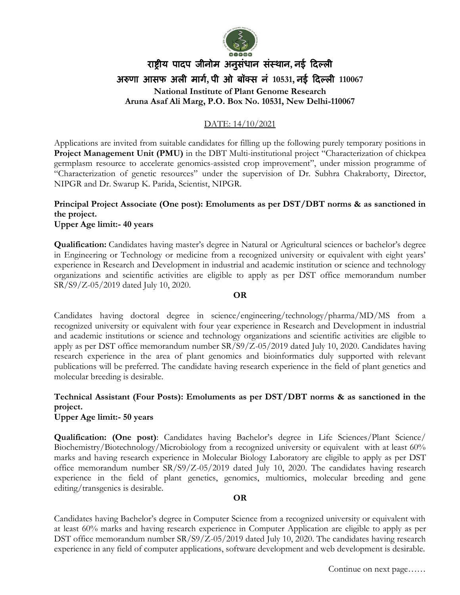

# राष्ट्रीय पादप जीनोम अनुसंधान संस्थान**,** नई ददल्ली अरुणा आसफ अली मार्ग**,** पी ओ बॉक्स नं **10531,** नई ददल्ली **110067 National Institute of Plant Genome Research Aruna Asaf Ali Marg, P.O. Box No. 10531, New Delhi-110067**

### DATE: 14/10/2021

Applications are invited from suitable candidates for filling up the following purely temporary positions in **Project Management Unit (PMU)** in the DBT Multi-institutional project "Characterization of chickpea germplasm resource to accelerate genomics-assisted crop improvement", under mission programme of "Characterization of genetic resources" under the supervision of Dr. Subhra Chakraborty, Director, NIPGR and Dr. Swarup K. Parida, Scientist, NIPGR.

## **Principal Project Associate (One post): Emoluments as per DST/DBT norms & as sanctioned in the project.**

#### **Upper Age limit:- 40 years**

**Qualification:** Candidates having master's degree in Natural or Agricultural sciences or bachelor's degree in Engineering or Technology or medicine from a recognized university or equivalent with eight years' experience in Research and Development in industrial and academic institution or science and technology organizations and scientific activities are eligible to apply as per DST office memorandum number SR/S9/Z-05/2019 dated July 10, 2020.

#### **OR**

Candidates having doctoral degree in science/engineering/technology/pharma/MD/MS from a recognized university or equivalent with four year experience in Research and Development in industrial and academic institutions or science and technology organizations and scientific activities are eligible to apply as per DST office memorandum number SR/S9/Z-05/2019 dated July 10, 2020. Candidates having research experience in the area of plant genomics and bioinformatics duly supported with relevant publications will be preferred. The candidate having research experience in the field of plant genetics and molecular breeding is desirable.

## **Technical Assistant (Four Posts): Emoluments as per DST/DBT norms & as sanctioned in the project.**

**Upper Age limit:- 50 years**

**Qualification: (One post)**: Candidates having Bachelor's degree in Life Sciences/Plant Science/ Biochemistry/Biotechnology/Microbiology from a recognized university or equivalent with at least 60% marks and having research experience in Molecular Biology Laboratory are eligible to apply as per DST office memorandum number SR/S9/Z-05/2019 dated July 10, 2020. The candidates having research experience in the field of plant genetics, genomics, multiomics, molecular breeding and gene editing/transgenics is desirable.

#### **OR**

Candidates having Bachelor's degree in Computer Science from a recognized university or equivalent with at least 60% marks and having research experience in Computer Application are eligible to apply as per DST office memorandum number SR/S9/Z-05/2019 dated July 10, 2020. The candidates having research experience in any field of computer applications, software development and web development is desirable.